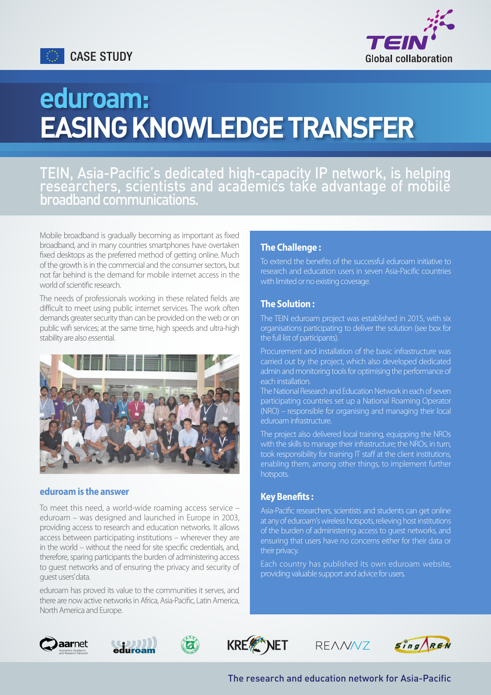



# eduroam: EASING KNOWLEDGE TRANSFER

# TEIN, Asia-Pacific's dedicated high-capacity IP network, is helping researchers, scientists and academics take advantage of mobile broadband communications.

Mobile broadband is gradually becoming as important as fixed broadband, and in many countries smartphones have overtaken fixed desktops as the preferred method of getting online. Much of the growth is in the commercial and the consumer sectors, but not far behind is the demand for mobile internet access in the world of scientific research.

The needs of professionals working in these related fields are difficult to meet using public internet services. The work often demands greater security than can be provided on the web or on public wifi services; at the same time, high speeds and ultra-high stability are also essential.



#### **eduroam is the answer**

To meet this need, a world-wide roaming access service – eduroam – was designed and launched in Europe in 2003, providing access to research and education networks. It allows access between participating institutions – wherever they are in the world – without the need for site specific credentials, and, therefore, sparing participants the burden of administering access to guest networks and of ensuring the privacy and security of guest users' data.

eduroam has proved its value to the communities it serves, and there are now active networks in Africa, Asia-Pacific, Latin America, North America and Europe.

## **The Challenge :**

To extend the benefits of the successful eduroam initiative to research and education users in seven Asia-Pacific countries with limited or no existing coverage.

# **The Solution :**

The TEIN eduroam project was established in 2015, with six organisations participating to deliver the solution (see box for the full list of participants).

Procurement and installation of the basic infrastructure was carried out by the project, which also developed dedicated admin and monitoring tools for optimising the performance of each installation.

The National Research and Education Network in each of seven participating countries set up a National Roaming Operator (NRO) – responsible for organising and managing their local eduroam infrastructure.

The project also delivered local training, equipping the NROs with the skills to manage their infrastructure; the NROs, in turn, took responsibility for training IT staff at the client institutions, enabling them, among other things, to implement further hotspots.

# **Key Benefits :**

Asia-Pacific researchers, scientists and students can get online at any of eduroam's wireless hotspots, relieving host institutions of the burden of administering access to guest networks, and ensuring that users have no concerns either for their data or their privacy.

Each country has published its own eduroam website, providing valuable support and advice for users.





 $\boldsymbol{G}$